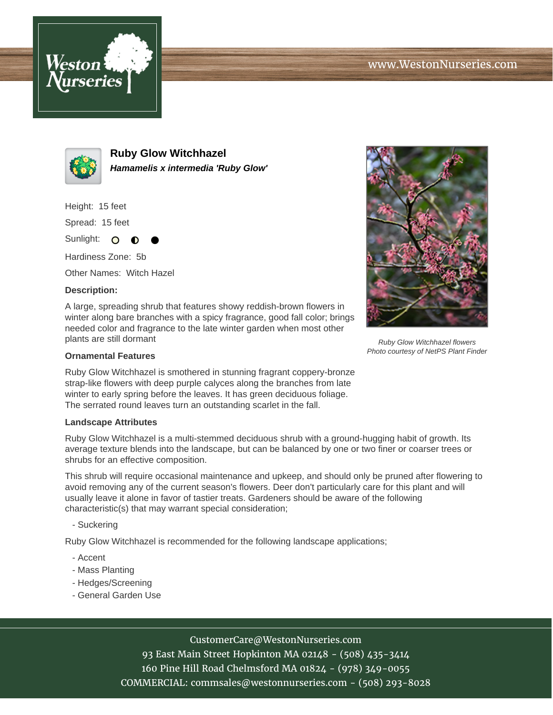



**Ruby Glow Witchhazel Hamamelis x intermedia 'Ruby Glow'**

Height: 15 feet

Spread: 15 feet

Sunlight: O ∩

Hardiness Zone: 5b

Other Names: Witch Hazel

## **Description:**

A large, spreading shrub that features showy reddish-brown flowers in winter along bare branches with a spicy fragrance, good fall color; brings needed color and fragrance to the late winter garden when most other plants are still dormant

## **Ornamental Features**

Ruby Glow Witchhazel is smothered in stunning fragrant coppery-bronze strap-like flowers with deep purple calyces along the branches from late winter to early spring before the leaves. It has green deciduous foliage. The serrated round leaves turn an outstanding scarlet in the fall.

## **Landscape Attributes**

Ruby Glow Witchhazel is a multi-stemmed deciduous shrub with a ground-hugging habit of growth. Its average texture blends into the landscape, but can be balanced by one or two finer or coarser trees or shrubs for an effective composition.

This shrub will require occasional maintenance and upkeep, and should only be pruned after flowering to avoid removing any of the current season's flowers. Deer don't particularly care for this plant and will usually leave it alone in favor of tastier treats. Gardeners should be aware of the following characteristic(s) that may warrant special consideration;

- Suckering

Ruby Glow Witchhazel is recommended for the following landscape applications;

- Accent
- Mass Planting
- Hedges/Screening
- General Garden Use



Photo courtesy of NetPS Plant Finder

CustomerCare@WestonNurseries.com

93 East Main Street Hopkinton MA 02148 - (508) 435-3414 160 Pine Hill Road Chelmsford MA 01824 - (978) 349-0055 COMMERCIAL: commsales@westonnurseries.com - (508) 293-8028